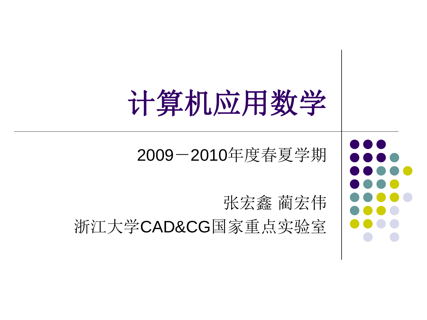# 计算机应用数学

### 2009-2010年度春夏学期

张宏鑫 蔺宏伟 浙江大学CAD&CG国家重点实验室

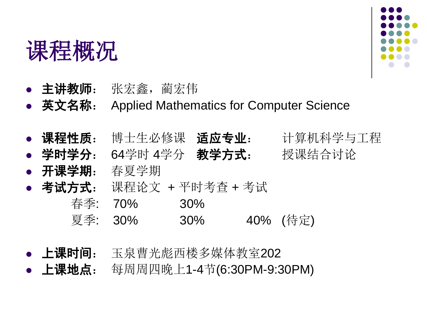### 课程概况



- 主讲教师: 张宏鑫, 蔺宏伟
- 英文名称: Applied Mathematics for Computer Science
- 课程性质: 博士生必修课 适应专业: 计算机科学与工程
- 学时学分: 64学时 4学分 教学方式: 授课结合讨论
- **开课学期**: 春夏学期
- 考试方式: 课程论文 + 平时考查 + 考试
	- 春季: 70% 30% 夏季: 30% 30% 40% (待定)
- 上课时间: 玉泉曹光彪西楼多媒体教室202
- 上课地点: 每周周四晚上1-4节(6:30PM-9:30PM)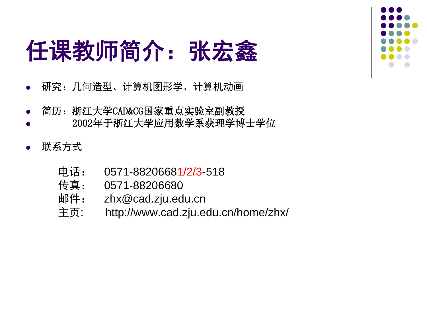## 任课教师简介:张宏鑫

- 研究:几何造型、计算机图形学、计算机动画
- 简历:浙江大学CAD&CG国家重点实验室副教授
- 2002年于浙江大学应用数学系获理学博士学位
- 联系方式
	- 电话: 0571-88206681/2/3-518
	- 传真: 0571-88206680
	- 邮件: zhx@cad.zju.edu.cn
	- 主页: http://www.cad.zju.edu.cn/home/zhx/

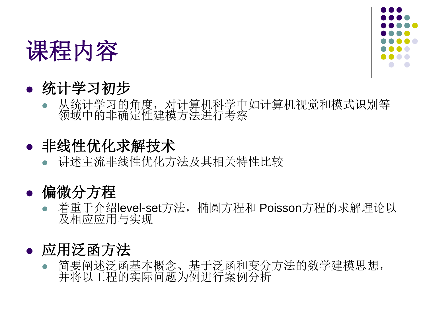



### 统计学习初步

 从统计学习的角度,对计算机科学中如计算机视觉和模式识别等 领域中的非确定性建模方法进行考察

### 非线性优化求解技术

- 讲述主流非线性优化方法及其相关特性比较
- 偏微分方程
	- 着重于介绍level-set方法,椭圆方程和 Poisson方程的求解理论以 及相应应用与实现

### 应用泛函方法

 简要阐述泛函基本概念、基于泛函和变分方法的数学建模思想, 并将以工程的实际问题为例进行案例分析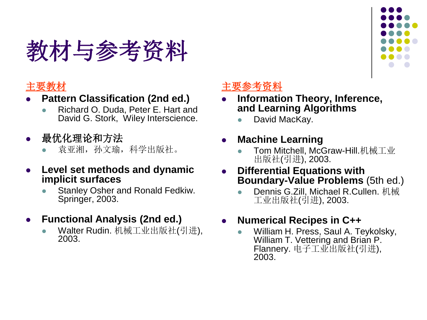## 教材与参考资料



#### **Pattern Classification (2nd ed.)**

- Richard O. Duda, Peter E. Hart and David G. Stork, Wiley Interscience.
- 最优化理论和方法

袁亚湘,孙文瑜,科学出版社。

- **Level set methods and dynamic implicit surfaces** 
	- Stanley Osher and Ronald Fedkiw. Springer, 2003.

#### **Functional Analysis (2nd ed.)**

 Walter Rudin. 机械工业出版社(引进), 2003.

#### 主要参考资料

- **Information Theory, Inference, and Learning Algorithms**
	- David MacKay.

#### **Machine Learning**

- Tom Mitchell, McGraw-Hill.机械工业 出版社(引进), 2003.
- **Differential Equations with Boundary-Value Problems** (5th ed.)
	- Dennis G.Zill, Michael R.Cullen. 机械 工业出版社(引进), 2003.

#### **Numerical Recipes in C++**

 William H. Press, Saul A. Teykolsky, William T. Vettering and Brian P. Flannery. 电子工业出版社(引进), 2003.

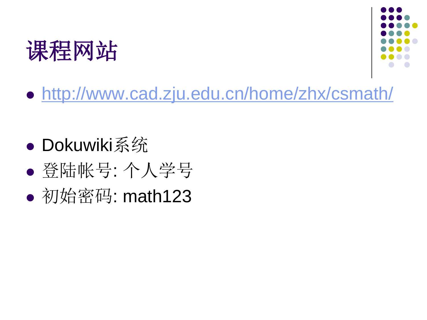



<http://www.cad.zju.edu.cn/home/zhx/csmath/>

- Dokuwiki系统
- 登陆帐号: 个人学号
- 初始密码: math123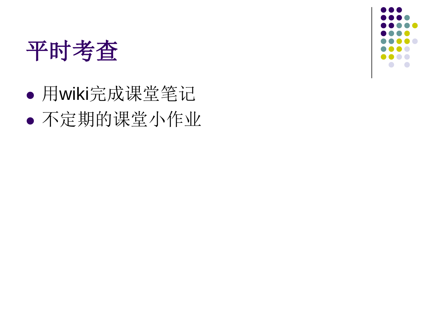

 用wiki完成课堂笔记 不定期的课堂小作业

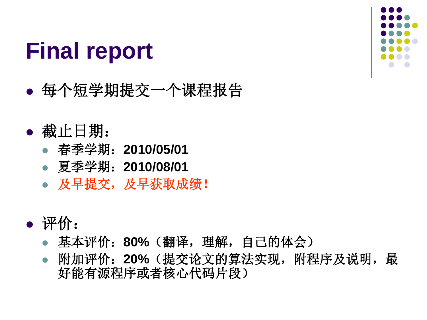### **Final report**

- 每个短学期提交一个课程报告
- 截止日期:
	- 春季学期: **2010/05/01**
	- 夏季学期:**2010/08/01**
	- 及早提交,及早获取成绩!
- 评价:
	- 基本评价:**80%**(翻译,理解,自己的体会)
	- 附加评价:**20%**(提交论文的算法实现,附程序及说明,最 好能有源程序或者核心代码片段)

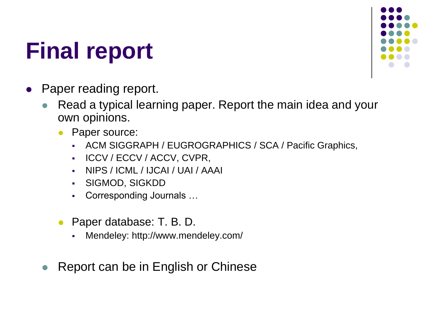## **Final report**

- Paper reading report.
	- Read a typical learning paper. Report the main idea and your own opinions.
		- Paper source:
			- ACM SIGGRAPH / EUGROGRAPHICS / SCA / Pacific Graphics,
			- **ICCV / ECCV / ACCV, CVPR,**
			- NIPS / ICML / IJCAI / UAI / AAAI
			- SIGMOD, SIGKDD
			- Corresponding Journals …
		- Paper database: T. B. D.
			- Mendeley: http://www.mendeley.com/
	- Report can be in English or Chinese

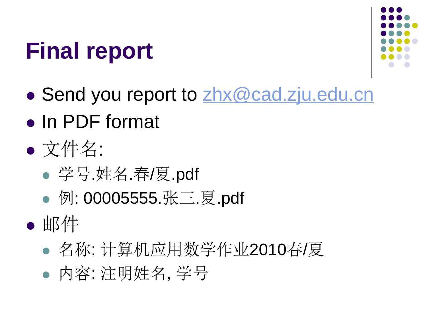## **Final report**



- Send you report to [zhx@cad.zju.edu.cn](mailto:zhx@cad.zju.edu.cn)
- In PDF format
- 文件名:
	- 学号.姓名.春/夏.pdf
	- 例: 00005555.张三.夏.pdf
- 邮件
	- 名称: 计算机应用数学作业2010春/夏
	- 内容: 注明姓名, 学号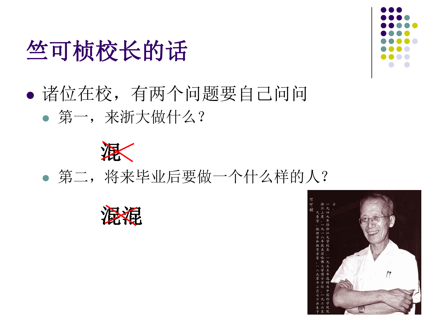## 竺可桢校长的话

### 诸位在校,有两个问题要自己问问 第一,来浙大做什么?



### 第二,将来毕业后要做一个什么样的人?





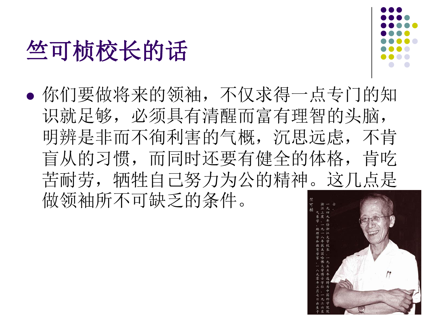## 竺可桢校长的话



 你们要做将来的领袖,不仅求得一点专门的知 识就足够,必须具有清醒而富有理智的头脑, 明辨是非而不徇利害的气概,沉思远虑,不肯 盲从的习惯,而同时还要有健全的体格,肯吃 苦耐劳,牺牲自己努力为公的精神。这几点是 做领袖所不可缺乏的条件。